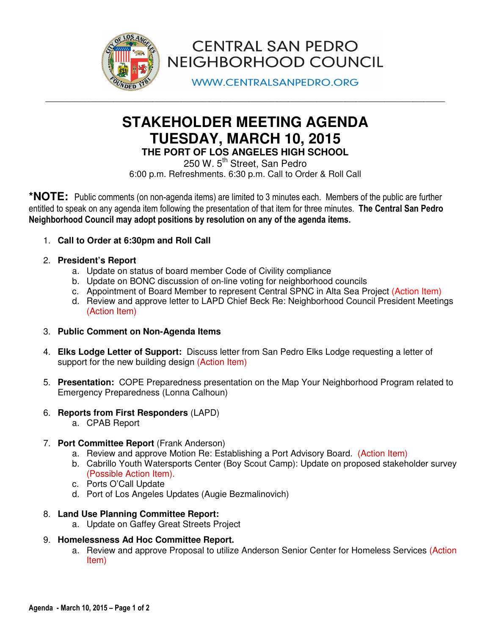

**CENTRAL SAN PEDRO** NEIGHBORHOOD COUNCIL

**WWW.CENTRALSANPEDRO.ORG** 

# **STAKEHOLDER MEETING AGENDA TUESDAY, MARCH 10, 2015 THE PORT OF LOS ANGELES HIGH SCHOOL**

**\_\_\_\_\_\_\_\_\_\_\_\_\_\_\_\_\_\_\_\_\_\_\_\_\_\_\_\_\_\_\_\_\_\_\_\_\_\_\_\_\_\_\_\_\_\_\_\_\_\_\_\_\_\_\_\_\_\_\_\_\_\_\_\_\_\_\_\_\_\_\_\_\_\_\_\_\_\_\_\_\_\_\_\_\_\_\_\_\_\_\_\_\_\_\_\_\_\_\_\_\_\_\_\_\_\_\_\_\_\_\_\_** 

250 W.  $5<sup>th</sup>$  Street, San Pedro 6:00 p.m. Refreshments. 6:30 p.m. Call to Order & Roll Call

**\*NOTE:** Public comments (on non-agenda items) are limited to 3 minutes each. Members of the public are further entitled to speak on any agenda item following the presentation of that item for three minutes. The Central San Pedro Neighborhood Council may adopt positions by resolution on any of the agenda items.

- 1. **Call to Order at 6:30pm and Roll Call**
- 2. **President's Report** 
	- a. Update on status of board member Code of Civility compliance
	- b. Update on BONC discussion of on-line voting for neighborhood councils
	- c. Appointment of Board Member to represent Central SPNC in Alta Sea Project (Action Item)
	- d. Review and approve letter to LAPD Chief Beck Re: Neighborhood Council President Meetings (Action Item)
- 3. **Public Comment on Non-Agenda Items**
- 4. **Elks Lodge Letter of Support:** Discuss letter from San Pedro Elks Lodge requesting a letter of support for the new building design (Action Item)
- 5. **Presentation:** COPE Preparedness presentation on the Map Your Neighborhood Program related to Emergency Preparedness (Lonna Calhoun)
- 6. **Reports from First Responders** (LAPD)
	- a. CPAB Report
- 7. **Port Committee Report** (Frank Anderson)
	- a. Review and approve Motion Re: Establishing a Port Advisory Board. (Action Item)
	- b. Cabrillo Youth Watersports Center (Boy Scout Camp): Update on proposed stakeholder survey (Possible Action Item).
	- c. Ports O'Call Update
	- d. Port of Los Angeles Updates (Augie Bezmalinovich)
- 8. **Land Use Planning Committee Report:**
	- a. Update on Gaffey Great Streets Project
- 9. **Homelessness Ad Hoc Committee Report.**
	- a. Review and approve Proposal to utilize Anderson Senior Center for Homeless Services (Action Item)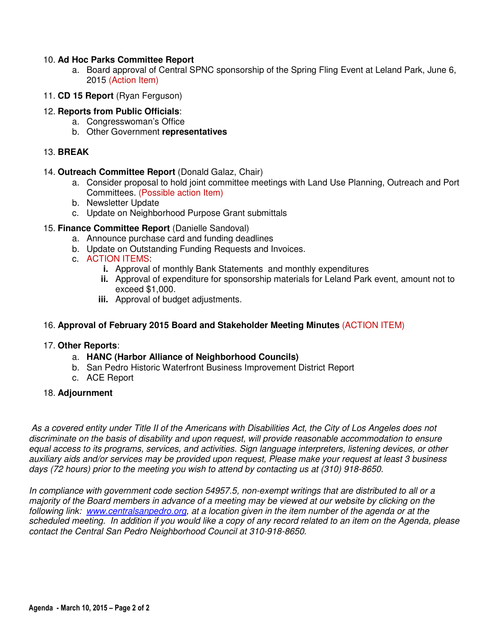### 10. **Ad Hoc Parks Committee Report**

- a. Board approval of Central SPNC sponsorship of the Spring Fling Event at Leland Park, June 6, 2015 (Action Item)
- 11. **CD 15 Report** (Ryan Ferguson)

## 12. **Reports from Public Officials**:

- a. Congresswoman's Office
- b. Other Government **representatives**

#### 13. **BREAK**

- 14. **Outreach Committee Report** (Donald Galaz, Chair)
	- a. Consider proposal to hold joint committee meetings with Land Use Planning, Outreach and Port Committees. (Possible action Item)
	- b. Newsletter Update
	- c. Update on Neighborhood Purpose Grant submittals
- 15. **Finance Committee Report** (Danielle Sandoval)
	- a. Announce purchase card and funding deadlines
	- b. Update on Outstanding Funding Requests and Invoices.
	- c. ACTION ITEMS:
		- **i.** Approval of monthly Bank Statements and monthly expenditures
		- **ii.** Approval of expenditure for sponsorship materials for Leland Park event, amount not to exceed \$1,000.
		- **iii.** Approval of budget adjustments.

#### 16. **Approval of February 2015 Board and Stakeholder Meeting Minutes** (ACTION ITEM)

#### 17. **Other Reports**:

- a. **HANC (Harbor Alliance of Neighborhood Councils)**
- b. San Pedro Historic Waterfront Business Improvement District Report
- c. ACE Report

#### 18. **Adjournment**

As a covered entity under Title II of the Americans with Disabilities Act, the City of Los Angeles does not discriminate on the basis of disability and upon request, will provide reasonable accommodation to ensure equal access to its programs, services, and activities. Sign language interpreters, listening devices, or other auxiliary aids and/or services may be provided upon request, Please make your request at least 3 business days (72 hours) prior to the meeting you wish to attend by contacting us at (310) 918-8650.

In compliance with government code section 54957.5, non-exempt writings that are distributed to all or a majority of the Board members in advance of a meeting may be viewed at our website by clicking on the following link: www.centralsanpedro.org, at a location given in the item number of the agenda or at the scheduled meeting. In addition if you would like a copy of any record related to an item on the Agenda, please contact the Central San Pedro Neighborhood Council at 310-918-8650.